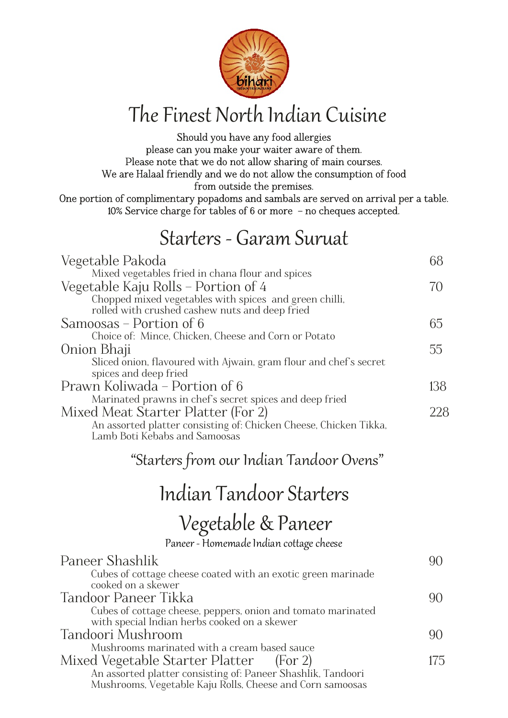

### The Finest North Indian Cuisine

Should you have any food allergies please can you make your waiter aware of them. Please note that we do not allow sharing of main courses. We are Halaal friendly and we do not allow the consumption of food from outside the premises. One portion of complimentary popadoms and sambals are served on arrival per a table. 10% Service charge for tables of 6 or more – no cheques accepted.

#### Starters - Garam Suruat

| Vegetable Pakoda                                                                                         | 68            |
|----------------------------------------------------------------------------------------------------------|---------------|
| Mixed vegetables fried in chana flour and spices                                                         |               |
| Vegetable Kaju Rolls – Portion of 4                                                                      | 70            |
| Chopped mixed vegetables with spices and green chilli,<br>rolled with crushed cashew nuts and deep fried |               |
| Samoosas – Portion of 6                                                                                  | 65            |
| Choice of: Mince, Chicken, Cheese and Corn or Potato                                                     |               |
| Onion Bhaji                                                                                              | 55            |
| Sliced onion, flavoured with Ajwain, gram flour and chef's secret<br>spices and deep fried               |               |
| Prawn Koliwada – Portion of 6                                                                            | 138           |
| Marinated prawns in chef's secret spices and deep fried                                                  |               |
| Mixed Meat Starter Platter (For 2)                                                                       | 228           |
| An assorted platter consisting of: Chicken Cheese, Chicken Tikka,<br>Lamb Boti Kebabs and Samoosas       |               |
| "Starters from our Indian Tandoor Ovens"                                                                 |               |
| Indian Tandoor Starters                                                                                  |               |
| Vegetable & Paneer                                                                                       |               |
| Paneer - Homemade Indian cottage cheese                                                                  |               |
| Paneer Shashlik                                                                                          | 90            |
| Cubes of cottage cheese coated with an exotic green marinade                                             |               |
| cooked on a skewer                                                                                       |               |
| $\overline{ }$                                                                                           | $\sim$ $\sim$ |

| Tandoor Paneer Tikka                                         |     |
|--------------------------------------------------------------|-----|
| Cubes of cottage cheese, peppers, onion and tomato marinated |     |
| with special Indian herbs cooked on a skewer                 |     |
| Tandoori Mushroom                                            | 90  |
| Mushrooms marinated with a cream based sauce                 |     |
| Mixed Vegetable Starter Platter (For 2)                      | 175 |
| An assorted platter consisting of: Paneer Shashlik, Tandoori |     |
| Mushrooms, Vegetable Kaju Rolls, Cheese and Corn samoosas    |     |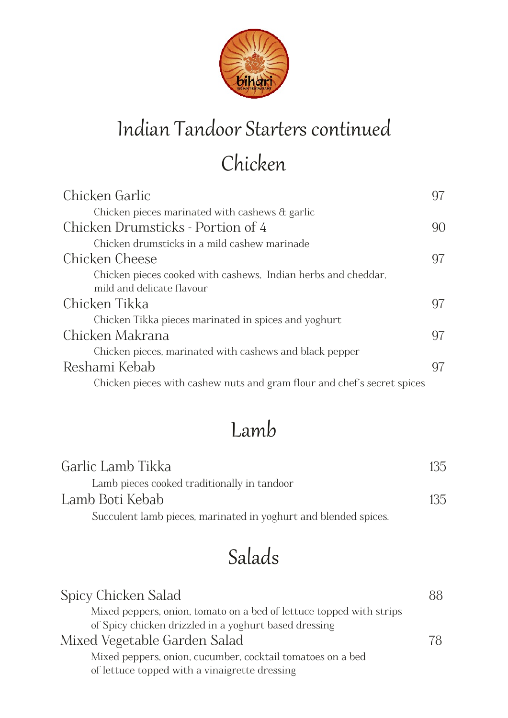

### Indian Tandoor Starters continued

# **Chicken**

| Chicken Garlic                                                                             | 97 |
|--------------------------------------------------------------------------------------------|----|
| Chicken pieces marinated with cashews $\alpha$ garlic                                      |    |
| Chicken Drumsticks - Portion of 4                                                          | 90 |
| Chicken drumsticks in a mild cashew marinade                                               |    |
| Chicken Cheese                                                                             | 97 |
| Chicken pieces cooked with cashews, Indian herbs and cheddar,<br>mild and delicate flavour |    |
| Chicken Tikka                                                                              | 97 |
| Chicken Tikka pieces marinated in spices and yoghurt                                       |    |
| Chicken Makrana                                                                            | 97 |
| Chicken pieces, marinated with cashews and black pepper                                    |    |
| Reshami Kebab                                                                              | 97 |
| Chicken pieces with cashew nuts and gram flour and chef's secret spices                    |    |

### Lamb

| Garlic Lamb Tikka                                               | 135 |
|-----------------------------------------------------------------|-----|
| Lamb pieces cooked traditionally in tandoor                     |     |
| Lamb Boti Kebab                                                 | 135 |
| Succulent lamb pieces, marinated in yoghurt and blended spices. |     |

# Salads

| Spicy Chicken Salad                                                 | 88 |
|---------------------------------------------------------------------|----|
| Mixed peppers, onion, tomato on a bed of lettuce topped with strips |    |
| of Spicy chicken drizzled in a yoghurt based dressing               |    |
| Mixed Vegetable Garden Salad                                        | 78 |
| Mixed peppers, onion, cucumber, cocktail tomatoes on a bed          |    |
| of lettuce topped with a vinaigrette dressing                       |    |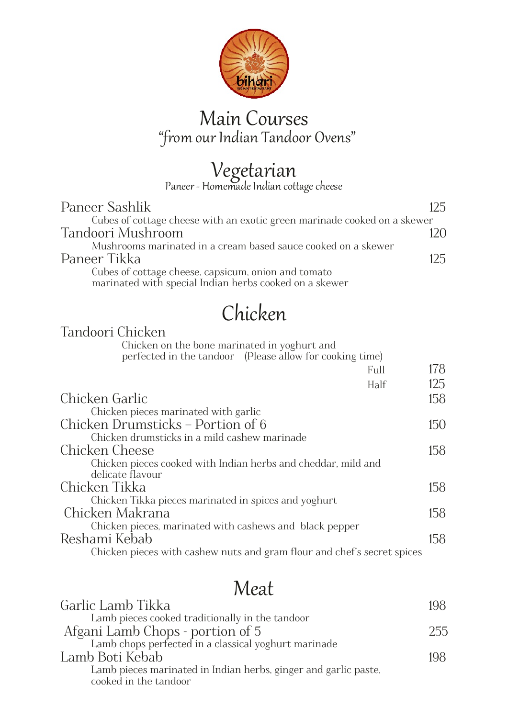

#### Main Courses "from our Indian Tandoor Ovens"

# Vegetarian

Paneer - Homemade Indian cottage cheese

| Paneer Sashlik                                                           | 125 |
|--------------------------------------------------------------------------|-----|
| Cubes of cottage cheese with an exotic green marinade cooked on a skewer |     |
| Tandoori Mushroom                                                        | 170 |
| Mushrooms marinated in a cream based sauce cooked on a skewer            |     |
| Paneer Tikka                                                             | 125 |
| Cubes of cottage cheese, capsicum, onion and tomato                      |     |
| marinated with special Indian herbs cooked on a skewer                   |     |

# **Chicken**

| Tandoori Chicken                                                        |     |
|-------------------------------------------------------------------------|-----|
| Chicken on the bone marinated in yoghurt and                            |     |
| perfected in the tandoor (Please allow for cooking time)                |     |
| Full                                                                    | 178 |
| Half                                                                    | 125 |
| Chicken Garlic                                                          | 158 |
| Chicken pieces marinated with garlic                                    |     |
| Chicken Drumsticks - Portion of 6                                       | 150 |
| Chicken drumsticks in a mild cashew marinade                            |     |
| Chicken Cheese                                                          | 158 |
| Chicken pieces cooked with Indian herbs and cheddar, mild and           |     |
| delicate flavour                                                        |     |
| Chicken Tikka                                                           | 158 |
| Chicken Tikka pieces marinated in spices and yoghurt                    |     |
| Chicken Makrana                                                         | 158 |
| Chicken pieces, marinated with cashews and black pepper                 |     |
| Reshami Kebab                                                           | 158 |
| Chicken pieces with cashew nuts and gram flour and chef's secret spices |     |

### Meat

| Garlic Lamb Tikka                                                                        | 198 |
|------------------------------------------------------------------------------------------|-----|
| Lamb pieces cooked traditionally in the tandoor                                          |     |
| Afgani Lamb Chops - portion of 5                                                         | 255 |
| Lamb chops perfected in a classical yoghurt marinade                                     |     |
| Lamb Boti Kebab                                                                          | 198 |
| Lamb pieces marinated in Indian herbs, ginger and garlic paste,<br>cooked in the tandoor |     |
|                                                                                          |     |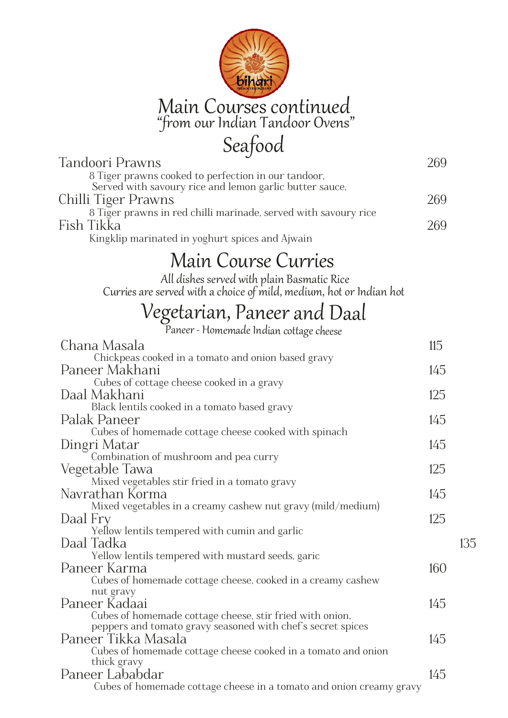

| Seafood                                                                                                                 |     |     |
|-------------------------------------------------------------------------------------------------------------------------|-----|-----|
| Tandoori Prawns                                                                                                         | 269 |     |
| 8 Tiger prawns cooked to perfection in our tandoor,                                                                     |     |     |
| Served with savoury rice and lemon garlic butter sauce,                                                                 |     |     |
| Chilli Tiger Prawns                                                                                                     | 269 |     |
| 8 Tiger prawns in red chilli marinade, served with savoury rice                                                         |     |     |
| Fish Tikka                                                                                                              | 269 |     |
| Kingklip marinated in yoghurt spices and Ajwain                                                                         |     |     |
| <b>Main Course Curries</b>                                                                                              |     |     |
| All dishes served with plain Basmatic Rice<br>Curries are served with a choice of mild, medium, hot or Indian hot       |     |     |
| Vegetarian, Paneer and Daal                                                                                             |     |     |
|                                                                                                                         |     |     |
| Chana Masala                                                                                                            | 115 |     |
| Chickpeas cooked in a tomato and onion based gravy                                                                      |     |     |
| Paneer Makhani                                                                                                          | 145 |     |
| Cubes of cottage cheese cooked in a gravy                                                                               |     |     |
| Daal Makhani                                                                                                            | 125 |     |
| Black lentils cooked in a tomato based gravy<br>Palak Paneer                                                            | 145 |     |
| Cubes of homemade cottage cheese cooked with spinach                                                                    |     |     |
| Dingri Matar                                                                                                            | 145 |     |
| Combination of mushroom and pea curry                                                                                   |     |     |
| Vegetable Tawa                                                                                                          | 125 |     |
| Mixed vegetables stir fried in a tomato gravy                                                                           |     |     |
| Navrathan Korma                                                                                                         | 145 |     |
| Mixed vegetables in a creamy cashew nut gravy (mild/medium)                                                             |     |     |
| Daal Fry<br>Yellow lentils tempered with cumin and garlic                                                               | 125 |     |
| Daal Tadka                                                                                                              |     | 135 |
| Yellow lentils tempered with mustard seeds, garic                                                                       |     |     |
| Paneer Karma                                                                                                            | 160 |     |
| Cubes of homemade cottage cheese, cooked in a creamy cashew                                                             |     |     |
| nut gravy                                                                                                               |     |     |
| Paneer Kadaai                                                                                                           | 145 |     |
| Cubes of homemade cottage cheese, stir fried with onion,<br>peppers and tomato gravy seasoned with chef's secret spices |     |     |
| Paneer Tikka Masala                                                                                                     | 145 |     |
| Cubes of homemade cottage cheese cooked in a tomato and onion                                                           |     |     |
| thick gravy                                                                                                             |     |     |
| Paneer Lababdar                                                                                                         | 145 |     |
| Cubes of homemade cottage cheese in a tomato and onion creamy gravy                                                     |     |     |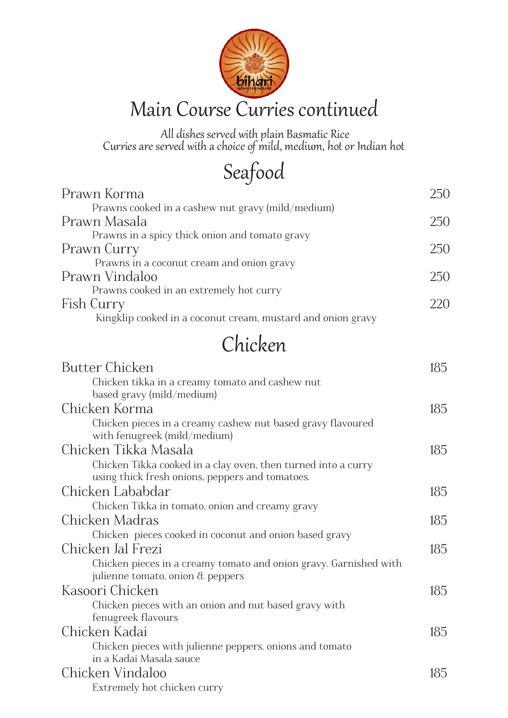

 All dishes served with plain Basmatic Rice Curries are served with a choice of mild, medium, hot or Indian hot

Seafood

| Prawn Korma                                                                  | 250 |
|------------------------------------------------------------------------------|-----|
| Prawns cooked in a cashew nut gravy (mild/medium)                            |     |
| Prawn Masala                                                                 | 250 |
| Prawns in a spicy thick onion and tomato gravy                               |     |
| Prawn Curry                                                                  | 250 |
| Prawns in a coconut cream and onion gravy                                    |     |
| Prawn Vindaloo                                                               | 250 |
| Prawns cooked in an extremely hot curry                                      |     |
| Fish Curry                                                                   | 220 |
| Kingklip cooked in a coconut cream, mustard and onion gravy                  |     |
| Chicken                                                                      |     |
|                                                                              |     |
| <b>Butter Chicken</b>                                                        | 185 |
| Chicken tikka in a creamy tomato and cashew nut<br>based gravy (mild/medium) |     |
| Chicken Korma                                                                | 185 |
| Chicken pieces in a creamy cashew nut based gravy flavoured                  |     |
| with fenugreek (mild/medium)                                                 |     |
| Chicken Tikka Masala                                                         | 185 |
| Chicken Tikka cooked in a clay oven, then turned into a curry                |     |
| using thick fresh onions, peppers and tomatoes.                              |     |
| Chicken Lababdar                                                             | 185 |
| Chicken Tikka in tomato, onion and creamy gravy                              |     |
| Chicken Madras                                                               | 185 |
| Chicken pieces cooked in coconut and onion based gravy                       |     |
| Chicken Jal Frezi                                                            | 185 |
| Chicken pieces in a creamy tomato and onion gravy. Garnished with            |     |
| julienne tomato, onion $\alpha$ peppers                                      |     |
| Kasoori Chicken                                                              | 185 |
| Chicken pieces with an onion and nut based gravy with                        |     |
| fenugreek flavours                                                           |     |
| Chicken Kadai                                                                | 185 |
| Chicken pieces with julienne peppers, onions and tomato                      |     |
| in a Kadai Masala sauce                                                      |     |
| Chicken Vindaloo                                                             | 185 |
| Extremely hot chicken curry                                                  |     |
|                                                                              |     |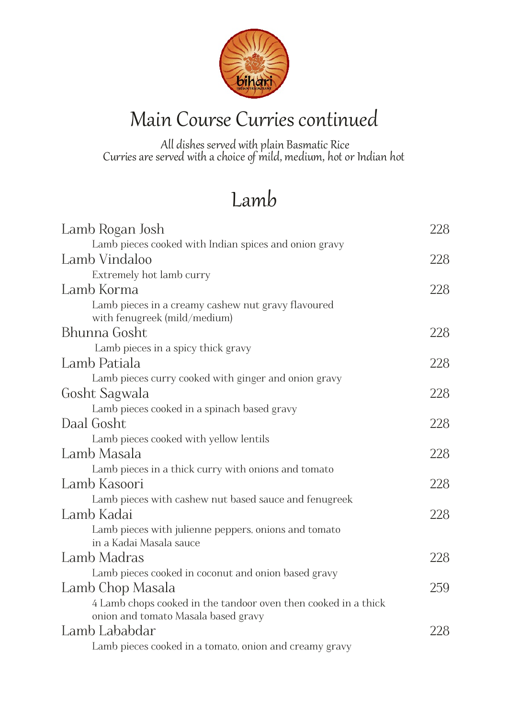

#### Main Course Curries continued

 All dishes served with plain Basmatic Rice Curries are served with a choice of mild, medium, hot or Indian hot

### Lamb

| Lamb Rogan Josh                                                                                       | 228 |
|-------------------------------------------------------------------------------------------------------|-----|
| Lamb pieces cooked with Indian spices and onion gravy                                                 |     |
| Lamb Vindaloo                                                                                         | 228 |
| Extremely hot lamb curry                                                                              |     |
| Lamb Korma                                                                                            | 228 |
| Lamb pieces in a creamy cashew nut gravy flavoured<br>with fenugreek (mild/medium)                    |     |
| Bhunna Gosht                                                                                          | 228 |
| Lamb pieces in a spicy thick gravy                                                                    |     |
| Lamb Patiala                                                                                          | 228 |
| Lamb pieces curry cooked with ginger and onion gravy                                                  |     |
| Gosht Sagwala                                                                                         | 228 |
| Lamb pieces cooked in a spinach based gravy                                                           |     |
| Daal Gosht                                                                                            | 228 |
| Lamb pieces cooked with yellow lentils                                                                |     |
| Lamb Masala                                                                                           | 228 |
| Lamb pieces in a thick curry with onions and tomato                                                   |     |
| Lamb Kasoori                                                                                          | 228 |
| Lamb pieces with cashew nut based sauce and fenugreek                                                 |     |
| Lamb Kadai                                                                                            | 228 |
| Lamb pieces with julienne peppers, onions and tomato<br>in a Kadai Masala sauce                       |     |
| Lamb Madras                                                                                           | 228 |
| Lamb pieces cooked in coconut and onion based gravy                                                   |     |
| Lamb Chop Masala                                                                                      | 259 |
| 4 Lamb chops cooked in the tandoor oven then cooked in a thick<br>onion and tomato Masala based gravy |     |
| Lamb Lababdar                                                                                         | 228 |
| Lamb pieces cooked in a tomato, onion and creamy gravy                                                |     |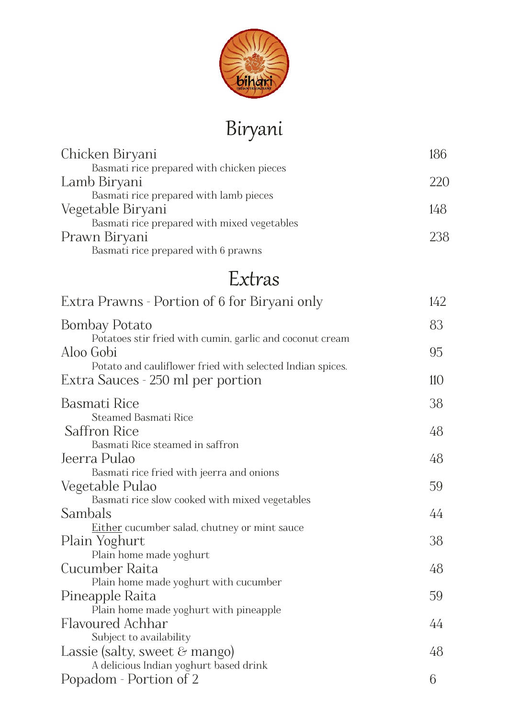

# Biryani

| Chicken Biryani                                           | 186 |
|-----------------------------------------------------------|-----|
| Basmati rice prepared with chicken pieces                 |     |
| Lamb Biryani                                              | 220 |
| Basmati rice prepared with lamb pieces                    |     |
| Vegetable Biryani                                         | 148 |
| Basmati rice prepared with mixed vegetables               |     |
| Prawn Biryani<br>Basmati rice prepared with 6 prawns      | 238 |
|                                                           |     |
| Extras                                                    |     |
| Extra Prawns - Portion of 6 for Biryani only              | 142 |
| <b>Bombay Potato</b>                                      | 83  |
| Potatoes stir fried with cumin, garlic and coconut cream  |     |
| Aloo Gobi                                                 | 95  |
| Potato and cauliflower fried with selected Indian spices. |     |
| Extra Sauces - 250 ml per portion                         | 110 |
| <b>Basmati Rice</b>                                       | 38  |
| <b>Steamed Basmati Rice</b>                               |     |
| <b>Saffron Rice</b>                                       | 48  |
| Basmati Rice steamed in saffron                           |     |
| Jeerra Pulao                                              | 48  |
| Basmati rice fried with jeerra and onions                 |     |
| Vegetable Pulao                                           | 59  |
| Basmati rice slow cooked with mixed vegetables            |     |
| Sambals                                                   | 44  |
| <u>Either</u> cucumber salad, chutney or mint sauce       |     |
| Plain Yoghurt                                             | 38  |
| Plain home made yoghurt<br>Cucumber Raita                 | 48  |
| Plain home made yoghurt with cucumber                     |     |
| Pineapple Raita                                           | 59  |
| Plain home made yoghurt with pineapple                    |     |
| Flavoured Achhar                                          | 44  |
| Subject to availability                                   |     |
| Lassie (salty, sweet $\&$ mango)                          | 48  |
| A delicious Indian yoghurt based drink                    |     |
| Popadom - Portion of 2                                    | 6   |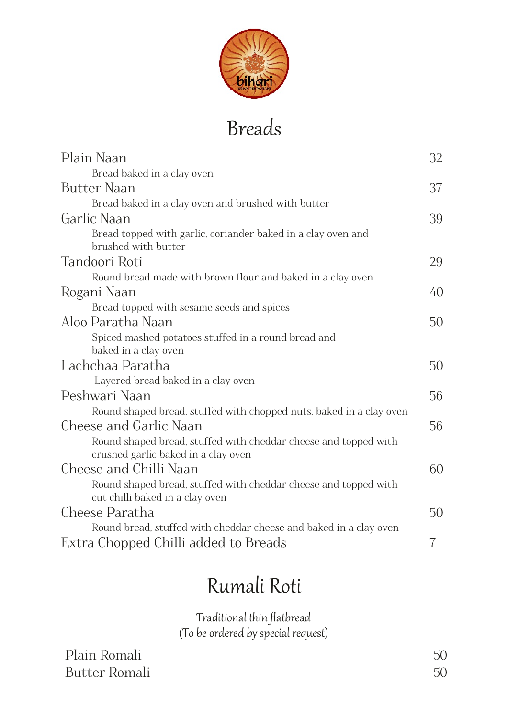

### Breads

| Plain Naan                                                                                         | 32 |
|----------------------------------------------------------------------------------------------------|----|
| Bread baked in a clay oven                                                                         |    |
| <b>Butter Naan</b>                                                                                 | 37 |
| Bread baked in a clay oven and brushed with butter                                                 |    |
| Garlic Naan                                                                                        | 39 |
| Bread topped with garlic, coriander baked in a clay oven and<br>brushed with butter                |    |
| Tandoori Roti                                                                                      | 29 |
| Round bread made with brown flour and baked in a clay oven                                         |    |
| Rogani Naan                                                                                        | 40 |
| Bread topped with sesame seeds and spices                                                          |    |
| Aloo Paratha Naan                                                                                  | 50 |
| Spiced mashed potatoes stuffed in a round bread and                                                |    |
| baked in a clay oven                                                                               |    |
| Lachchaa Paratha                                                                                   | 50 |
| Layered bread baked in a clay oven                                                                 |    |
| Peshwari Naan                                                                                      | 56 |
| Round shaped bread, stuffed with chopped nuts, baked in a clay oven                                |    |
| Cheese and Garlic Naan                                                                             | 56 |
| Round shaped bread, stuffed with cheddar cheese and topped with                                    |    |
| crushed garlic baked in a clay oven                                                                |    |
| Cheese and Chilli Naan                                                                             | 60 |
| Round shaped bread, stuffed with cheddar cheese and topped with<br>cut chilli baked in a clay oven |    |
| Cheese Paratha                                                                                     | 50 |
| Round bread, stuffed with cheddar cheese and baked in a clay oven                                  |    |
| Extra Chopped Chilli added to Breads                                                               | 7  |
|                                                                                                    |    |

## Rumali Roti

Traditional thin flatbread (To be ordered by special request)

Plain Romali 50 Butter Romali 50